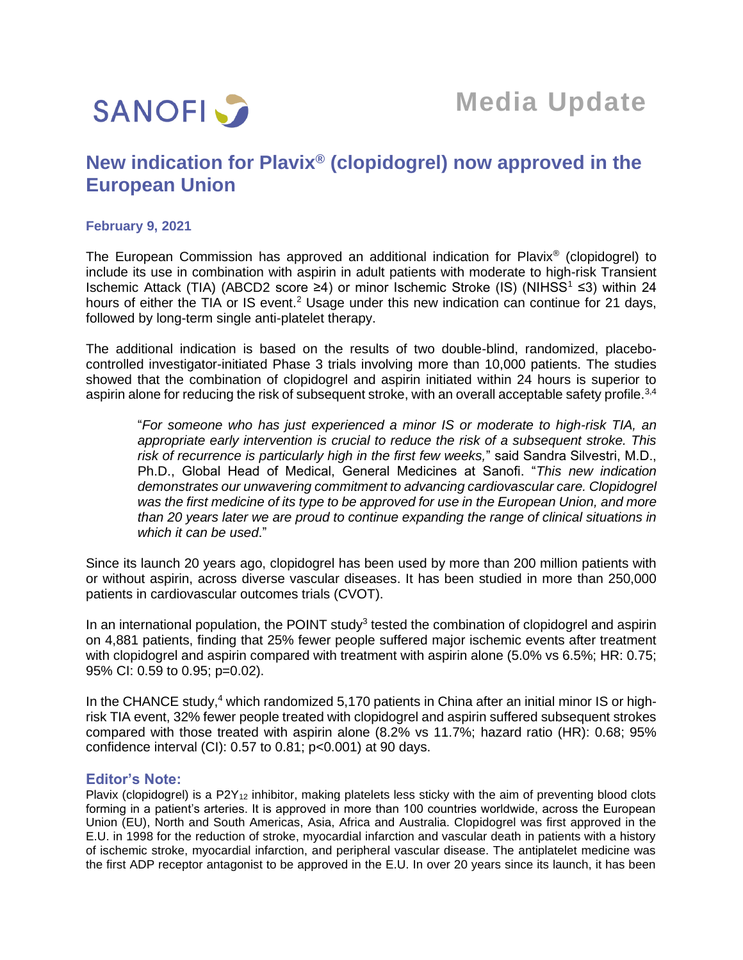

# **New indication for Plavix® (clopidogrel) now approved in the European Union**

## **February 9, 2021**

The European Commission has approved an additional indication for Plavix® (clopidogrel) to include its use in combination with aspirin in adult patients with moderate to high-risk Transient Ischemic Attack (TIA) (ABCD2 score ≥4) or minor Ischemic Stroke (IS) (NIHSS<sup>1</sup> ≤3) within 24 hours of either the TIA or IS event.<sup>2</sup> Usage under this new indication can continue for 21 days, followed by long-term single anti-platelet therapy.

The additional indication is based on the results of two double-blind, randomized, placebocontrolled investigator-initiated Phase 3 trials involving more than 10,000 patients. The studies showed that the combination of clopidogrel and aspirin initiated within 24 hours is superior to aspirin alone for reducing the risk of subsequent stroke, with an overall acceptable safety profile.<sup>3,4</sup>

"*For someone who has just experienced a minor IS or moderate to high-risk TIA, an appropriate early intervention is crucial to reduce the risk of a subsequent stroke. This risk of recurrence is particularly high in the first few weeks,*" said Sandra Silvestri, M.D., Ph.D., Global Head of Medical, General Medicines at Sanofi. "*This new indication demonstrates our unwavering commitment to advancing cardiovascular care. Clopidogrel was the first medicine of its type to be approved for use in the European Union, and more than 20 years later we are proud to continue expanding the range of clinical situations in which it can be used*."

Since its launch 20 years ago, clopidogrel has been used by more than 200 million patients with or without aspirin, across diverse vascular diseases. It has been studied in more than 250,000 patients in cardiovascular outcomes trials (CVOT).

In an international population, the POINT study<sup>3</sup> tested the combination of clopidogrel and aspirin on 4,881 patients, finding that 25% fewer people suffered major ischemic events after treatment with clopidogrel and aspirin compared with treatment with aspirin alone (5.0% vs 6.5%; HR: 0.75; 95% CI: 0.59 to 0.95; p=0.02).

In the CHANCE study,<sup>4</sup> which randomized 5,170 patients in China after an initial minor IS or highrisk TIA event, 32% fewer people treated with clopidogrel and aspirin suffered subsequent strokes compared with those treated with aspirin alone (8.2% vs 11.7%; hazard ratio (HR): 0.68; 95% confidence interval (CI):  $0.57$  to  $0.81$ ;  $p<0.001$ ) at 90 days.

## **Editor's Note:**

Plavix (clopidogrel) is a P2Y<sub>12</sub> inhibitor, making platelets less sticky with the aim of preventing blood clots forming in a patient's arteries. It is approved in more than 100 countries worldwide, across the European Union (EU), North and South Americas, Asia, Africa and Australia. Clopidogrel was first approved in the E.U. in 1998 for the reduction of stroke, myocardial infarction and vascular death in patients with a history of ischemic stroke, myocardial infarction, and peripheral vascular disease. The antiplatelet medicine was the first ADP receptor antagonist to be approved in the E.U. In over 20 years since its launch, it has been